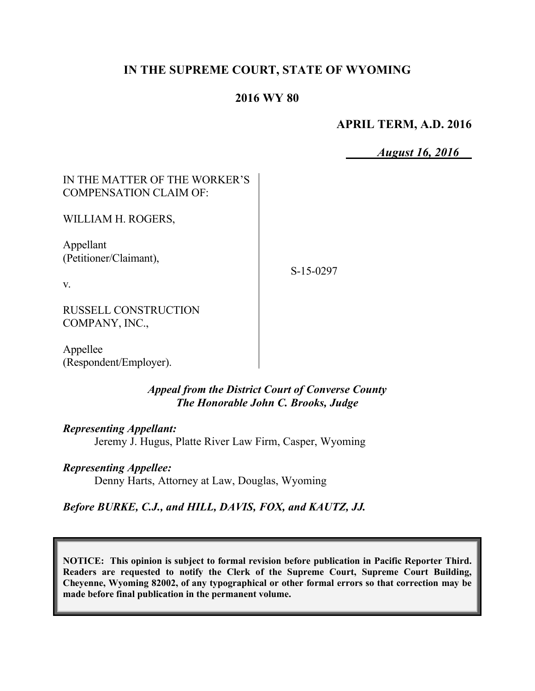# **IN THE SUPREME COURT, STATE OF WYOMING**

## **2016 WY 80**

### **APRIL TERM, A.D. 2016**

*August 16, 2016*

# IN THE MATTER OF THE WORKER'S COMPENSATION CLAIM OF:

WILLIAM H. ROGERS,

Appellant (Petitioner/Claimant),

S-15-0297

v.

RUSSELL CONSTRUCTION COMPANY, INC.,

Appellee (Respondent/Employer).

#### *Appeal from the District Court of Converse County The Honorable John C. Brooks, Judge*

*Representing Appellant:* Jeremy J. Hugus, Platte River Law Firm, Casper, Wyoming

### *Representing Appellee:*

Denny Harts, Attorney at Law, Douglas, Wyoming

*Before BURKE, C.J., and HILL, DAVIS, FOX, and KAUTZ, JJ.*

**NOTICE: This opinion is subject to formal revision before publication in Pacific Reporter Third. Readers are requested to notify the Clerk of the Supreme Court, Supreme Court Building, Cheyenne, Wyoming 82002, of any typographical or other formal errors so that correction may be made before final publication in the permanent volume.**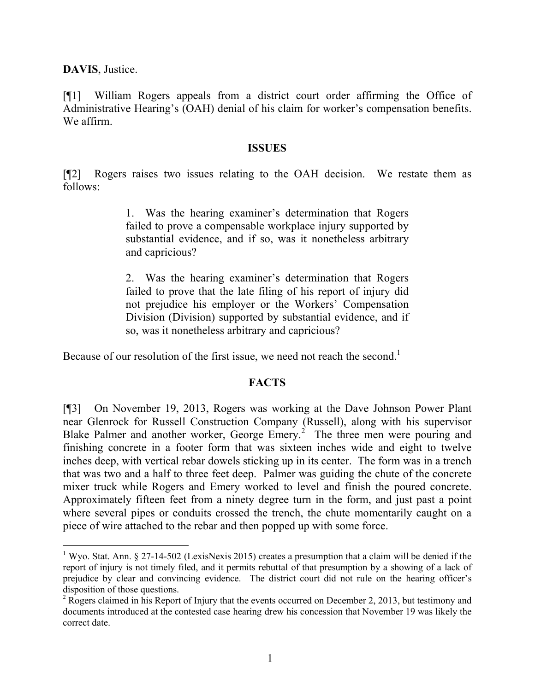**DAVIS**, Justice.

l

[¶1] William Rogers appeals from a district court order affirming the Office of Administrative Hearing's (OAH) denial of his claim for worker's compensation benefits. We affirm.

#### **ISSUES**

[¶2] Rogers raises two issues relating to the OAH decision. We restate them as follows:

> 1. Was the hearing examiner's determination that Rogers failed to prove a compensable workplace injury supported by substantial evidence, and if so, was it nonetheless arbitrary and capricious?

> 2. Was the hearing examiner's determination that Rogers failed to prove that the late filing of his report of injury did not prejudice his employer or the Workers' Compensation Division (Division) supported by substantial evidence, and if so, was it nonetheless arbitrary and capricious?

Because of our resolution of the first issue, we need not reach the second.<sup>1</sup>

#### **FACTS**

[¶3] On November 19, 2013, Rogers was working at the Dave Johnson Power Plant near Glenrock for Russell Construction Company (Russell), along with his supervisor Blake Palmer and another worker, George Emery.<sup>2</sup> The three men were pouring and finishing concrete in a footer form that was sixteen inches wide and eight to twelve inches deep, with vertical rebar dowels sticking up in its center. The form was in a trench that was two and a half to three feet deep. Palmer was guiding the chute of the concrete mixer truck while Rogers and Emery worked to level and finish the poured concrete. Approximately fifteen feet from a ninety degree turn in the form, and just past a point where several pipes or conduits crossed the trench, the chute momentarily caught on a piece of wire attached to the rebar and then popped up with some force.

<sup>&</sup>lt;sup>1</sup> Wyo. Stat. Ann. § 27-14-502 (LexisNexis 2015) creates a presumption that a claim will be denied if the report of injury is not timely filed, and it permits rebuttal of that presumption by a showing of a lack of prejudice by clear and convincing evidence. The district court did not rule on the hearing officer's disposition of those questions.

 $2$  Rogers claimed in his Report of Injury that the events occurred on December 2, 2013, but testimony and documents introduced at the contested case hearing drew his concession that November 19 was likely the correct date.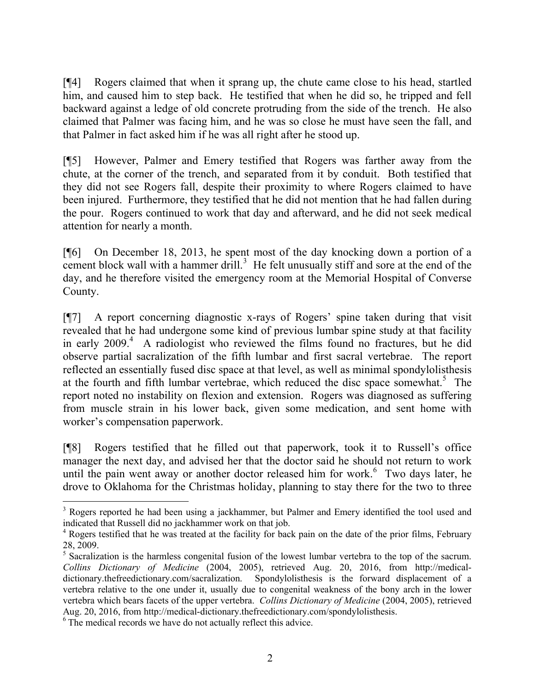[¶4] Rogers claimed that when it sprang up, the chute came close to his head, startled him, and caused him to step back. He testified that when he did so, he tripped and fell backward against a ledge of old concrete protruding from the side of the trench. He also claimed that Palmer was facing him, and he was so close he must have seen the fall, and that Palmer in fact asked him if he was all right after he stood up.

[¶5] However, Palmer and Emery testified that Rogers was farther away from the chute, at the corner of the trench, and separated from it by conduit. Both testified that they did not see Rogers fall, despite their proximity to where Rogers claimed to have been injured. Furthermore, they testified that he did not mention that he had fallen during the pour. Rogers continued to work that day and afterward, and he did not seek medical attention for nearly a month.

[¶6] On December 18, 2013, he spent most of the day knocking down a portion of a cement block wall with a hammer drill.<sup>3</sup> He felt unusually stiff and sore at the end of the day, and he therefore visited the emergency room at the Memorial Hospital of Converse County.

[¶7] A report concerning diagnostic x-rays of Rogers' spine taken during that visit revealed that he had undergone some kind of previous lumbar spine study at that facility in early 2009.<sup>4</sup> A radiologist who reviewed the films found no fractures, but he did observe partial sacralization of the fifth lumbar and first sacral vertebrae. The report reflected an essentially fused disc space at that level, as well as minimal spondylolisthesis at the fourth and fifth lumbar vertebrae, which reduced the disc space somewhat.<sup>5</sup> The report noted no instability on flexion and extension. Rogers was diagnosed as suffering from muscle strain in his lower back, given some medication, and sent home with worker's compensation paperwork.

[¶8] Rogers testified that he filled out that paperwork, took it to Russell's office manager the next day, and advised her that the doctor said he should not return to work until the pain went away or another doctor released him for work. $6$  Two days later, he drove to Oklahoma for the Christmas holiday, planning to stay there for the two to three

<sup>&</sup>lt;sup>3</sup> Rogers reported he had been using a jackhammer, but Palmer and Emery identified the tool used and indicated that Russell did no jackhammer work on that job.

<sup>&</sup>lt;sup>4</sup> Rogers testified that he was treated at the facility for back pain on the date of the prior films, February 28, 2009.

 $<sup>5</sup>$  Sacralization is the harmless congenital fusion of the lowest lumbar vertebra to the top of the sacrum.</sup> *Collins Dictionary of Medicine* (2004, 2005), retrieved Aug. 20, 2016, from http://medicaldictionary.thefreedictionary.com/sacralization. Spondylolisthesis is the forward displacement of a vertebra relative to the one under it, usually due to congenital weakness of the bony arch in the lower vertebra which bears facets of the upper vertebra. *Collins Dictionary of Medicine* (2004, 2005), retrieved Aug. 20, 2016, from http://medical-dictionary.thefreedictionary.com/spondylolisthesis.

<sup>&</sup>lt;sup>6</sup> The medical records we have do not actually reflect this advice.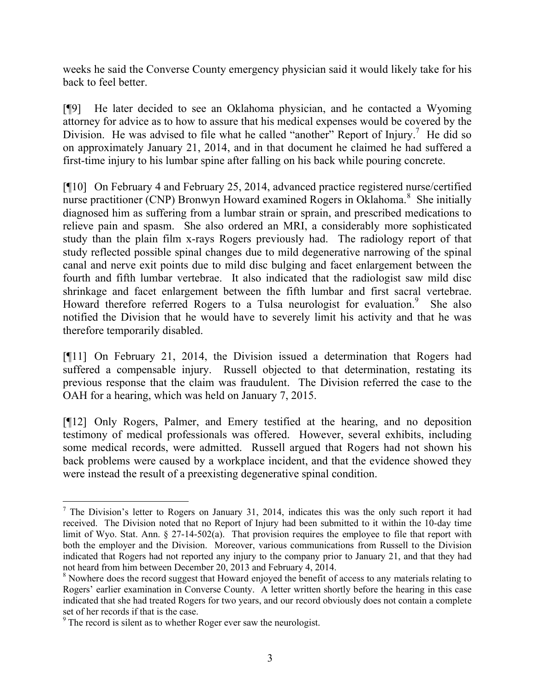weeks he said the Converse County emergency physician said it would likely take for his back to feel better.

[¶9] He later decided to see an Oklahoma physician, and he contacted a Wyoming attorney for advice as to how to assure that his medical expenses would be covered by the Division. He was advised to file what he called "another" Report of Injury.<sup>7</sup> He did so on approximately January 21, 2014, and in that document he claimed he had suffered a first-time injury to his lumbar spine after falling on his back while pouring concrete.

[¶10] On February 4 and February 25, 2014, advanced practice registered nurse/certified nurse practitioner (CNP) Bronwyn Howard examined Rogers in Oklahoma.<sup>8</sup> She initially diagnosed him as suffering from a lumbar strain or sprain, and prescribed medications to relieve pain and spasm. She also ordered an MRI, a considerably more sophisticated study than the plain film x-rays Rogers previously had. The radiology report of that study reflected possible spinal changes due to mild degenerative narrowing of the spinal canal and nerve exit points due to mild disc bulging and facet enlargement between the fourth and fifth lumbar vertebrae. It also indicated that the radiologist saw mild disc shrinkage and facet enlargement between the fifth lumbar and first sacral vertebrae. Howard therefore referred Rogers to a Tulsa neurologist for evaluation.<sup>9</sup> She also notified the Division that he would have to severely limit his activity and that he was therefore temporarily disabled.

[¶11] On February 21, 2014, the Division issued a determination that Rogers had suffered a compensable injury. Russell objected to that determination, restating its previous response that the claim was fraudulent. The Division referred the case to the OAH for a hearing, which was held on January 7, 2015.

[¶12] Only Rogers, Palmer, and Emery testified at the hearing, and no deposition testimony of medical professionals was offered. However, several exhibits, including some medical records, were admitted. Russell argued that Rogers had not shown his back problems were caused by a workplace incident, and that the evidence showed they were instead the result of a preexisting degenerative spinal condition.

<sup>&</sup>lt;sup>7</sup> The Division's letter to Rogers on January 31, 2014, indicates this was the only such report it had received. The Division noted that no Report of Injury had been submitted to it within the 10-day time limit of Wyo. Stat. Ann. § 27-14-502(a). That provision requires the employee to file that report with both the employer and the Division. Moreover, various communications from Russell to the Division indicated that Rogers had not reported any injury to the company prior to January 21, and that they had not heard from him between December 20, 2013 and February 4, 2014.

<sup>&</sup>lt;sup>8</sup> Nowhere does the record suggest that Howard enjoyed the benefit of access to any materials relating to Rogers' earlier examination in Converse County. A letter written shortly before the hearing in this case indicated that she had treated Rogers for two years, and our record obviously does not contain a complete set of her records if that is the case.

 $9<sup>9</sup>$  The record is silent as to whether Roger ever saw the neurologist.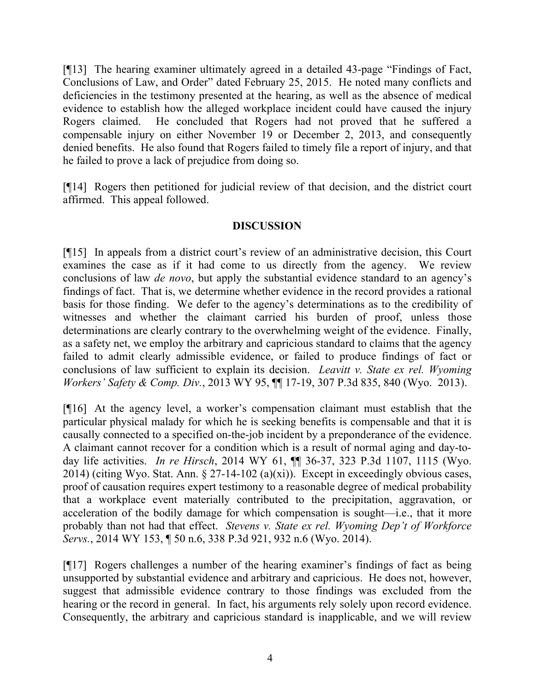[¶13] The hearing examiner ultimately agreed in a detailed 43-page "Findings of Fact, Conclusions of Law, and Order" dated February 25, 2015. He noted many conflicts and deficiencies in the testimony presented at the hearing, as well as the absence of medical evidence to establish how the alleged workplace incident could have caused the injury Rogers claimed. He concluded that Rogers had not proved that he suffered a compensable injury on either November 19 or December 2, 2013, and consequently denied benefits. He also found that Rogers failed to timely file a report of injury, and that he failed to prove a lack of prejudice from doing so.

[¶14] Rogers then petitioned for judicial review of that decision, and the district court affirmed. This appeal followed.

## **DISCUSSION**

[¶15] In appeals from a district court's review of an administrative decision, this Court examines the case as if it had come to us directly from the agency. We review conclusions of law *de novo*, but apply the substantial evidence standard to an agency's findings of fact. That is, we determine whether evidence in the record provides a rational basis for those finding. We defer to the agency's determinations as to the credibility of witnesses and whether the claimant carried his burden of proof, unless those determinations are clearly contrary to the overwhelming weight of the evidence. Finally, as a safety net, we employ the arbitrary and capricious standard to claims that the agency failed to admit clearly admissible evidence, or failed to produce findings of fact or conclusions of law sufficient to explain its decision. *Leavitt v. State ex rel. Wyoming Workers' Safety & Comp. Div.*, 2013 WY 95, ¶¶ 17-19, 307 P.3d 835, 840 (Wyo. 2013).

[¶16] At the agency level, a worker's compensation claimant must establish that the particular physical malady for which he is seeking benefits is compensable and that it is causally connected to a specified on-the-job incident by a preponderance of the evidence. A claimant cannot recover for a condition which is a result of normal aging and day-today life activities. *In re Hirsch*, 2014 WY 61, ¶¶ 36-37, 323 P.3d 1107, 1115 (Wyo. 2014) (citing Wyo. Stat. Ann. § 27-14-102 (a)(xi)). Except in exceedingly obvious cases, proof of causation requires expert testimony to a reasonable degree of medical probability that a workplace event materially contributed to the precipitation, aggravation, or acceleration of the bodily damage for which compensation is sought—i.e., that it more probably than not had that effect. *Stevens v. State ex rel. Wyoming Dep't of Workforce Servs.*, 2014 WY 153, ¶ 50 n.6, 338 P.3d 921, 932 n.6 (Wyo. 2014).

[¶17] Rogers challenges a number of the hearing examiner's findings of fact as being unsupported by substantial evidence and arbitrary and capricious. He does not, however, suggest that admissible evidence contrary to those findings was excluded from the hearing or the record in general. In fact, his arguments rely solely upon record evidence. Consequently, the arbitrary and capricious standard is inapplicable, and we will review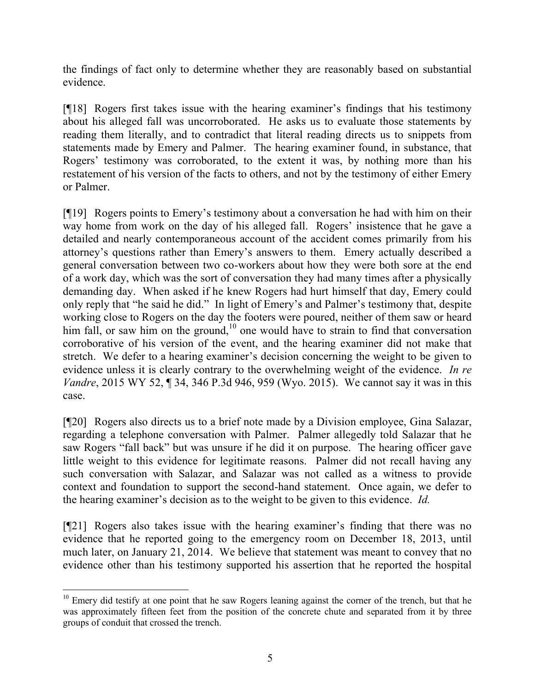the findings of fact only to determine whether they are reasonably based on substantial evidence.

[¶18] Rogers first takes issue with the hearing examiner's findings that his testimony about his alleged fall was uncorroborated. He asks us to evaluate those statements by reading them literally, and to contradict that literal reading directs us to snippets from statements made by Emery and Palmer. The hearing examiner found, in substance, that Rogers' testimony was corroborated, to the extent it was, by nothing more than his restatement of his version of the facts to others, and not by the testimony of either Emery or Palmer.

[¶19] Rogers points to Emery's testimony about a conversation he had with him on their way home from work on the day of his alleged fall. Rogers' insistence that he gave a detailed and nearly contemporaneous account of the accident comes primarily from his attorney's questions rather than Emery's answers to them. Emery actually described a general conversation between two co-workers about how they were both sore at the end of a work day, which was the sort of conversation they had many times after a physically demanding day. When asked if he knew Rogers had hurt himself that day, Emery could only reply that "he said he did." In light of Emery's and Palmer's testimony that, despite working close to Rogers on the day the footers were poured, neither of them saw or heard him fall, or saw him on the ground,<sup>10</sup> one would have to strain to find that conversation corroborative of his version of the event, and the hearing examiner did not make that stretch. We defer to a hearing examiner's decision concerning the weight to be given to evidence unless it is clearly contrary to the overwhelming weight of the evidence. *In re Vandre*, 2015 WY 52, ¶ 34, 346 P.3d 946, 959 (Wyo. 2015). We cannot say it was in this case.

[¶20] Rogers also directs us to a brief note made by a Division employee, Gina Salazar, regarding a telephone conversation with Palmer. Palmer allegedly told Salazar that he saw Rogers "fall back" but was unsure if he did it on purpose. The hearing officer gave little weight to this evidence for legitimate reasons. Palmer did not recall having any such conversation with Salazar, and Salazar was not called as a witness to provide context and foundation to support the second-hand statement. Once again, we defer to the hearing examiner's decision as to the weight to be given to this evidence. *Id.*

[¶21] Rogers also takes issue with the hearing examiner's finding that there was no evidence that he reported going to the emergency room on December 18, 2013, until much later, on January 21, 2014. We believe that statement was meant to convey that no evidence other than his testimony supported his assertion that he reported the hospital

l

<sup>&</sup>lt;sup>10</sup> Emery did testify at one point that he saw Rogers leaning against the corner of the trench, but that he was approximately fifteen feet from the position of the concrete chute and separated from it by three groups of conduit that crossed the trench.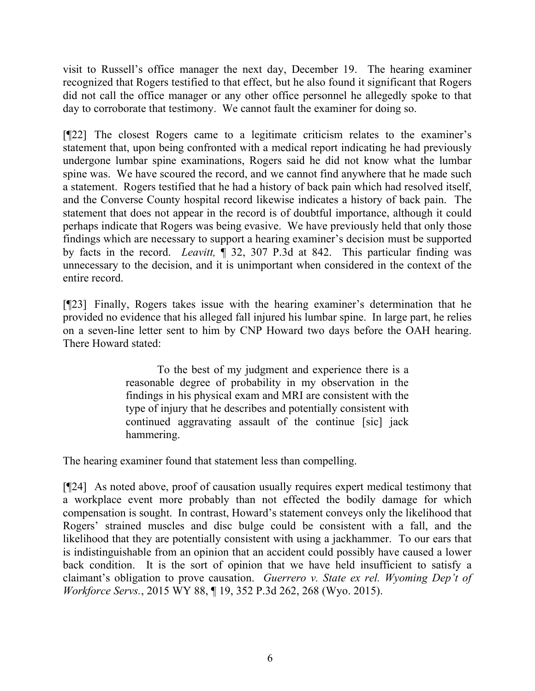visit to Russell's office manager the next day, December 19. The hearing examiner recognized that Rogers testified to that effect, but he also found it significant that Rogers did not call the office manager or any other office personnel he allegedly spoke to that day to corroborate that testimony. We cannot fault the examiner for doing so.

[¶22] The closest Rogers came to a legitimate criticism relates to the examiner's statement that, upon being confronted with a medical report indicating he had previously undergone lumbar spine examinations, Rogers said he did not know what the lumbar spine was. We have scoured the record, and we cannot find anywhere that he made such a statement. Rogers testified that he had a history of back pain which had resolved itself, and the Converse County hospital record likewise indicates a history of back pain. The statement that does not appear in the record is of doubtful importance, although it could perhaps indicate that Rogers was being evasive. We have previously held that only those findings which are necessary to support a hearing examiner's decision must be supported by facts in the record. *Leavitt,* ¶ 32, 307 P.3d at 842. This particular finding was unnecessary to the decision, and it is unimportant when considered in the context of the entire record.

[¶23] Finally, Rogers takes issue with the hearing examiner's determination that he provided no evidence that his alleged fall injured his lumbar spine. In large part, he relies on a seven-line letter sent to him by CNP Howard two days before the OAH hearing. There Howard stated:

> To the best of my judgment and experience there is a reasonable degree of probability in my observation in the findings in his physical exam and MRI are consistent with the type of injury that he describes and potentially consistent with continued aggravating assault of the continue [sic] jack hammering.

The hearing examiner found that statement less than compelling.

[¶24] As noted above, proof of causation usually requires expert medical testimony that a workplace event more probably than not effected the bodily damage for which compensation is sought. In contrast, Howard's statement conveys only the likelihood that Rogers' strained muscles and disc bulge could be consistent with a fall, and the likelihood that they are potentially consistent with using a jackhammer. To our ears that is indistinguishable from an opinion that an accident could possibly have caused a lower back condition. It is the sort of opinion that we have held insufficient to satisfy a claimant's obligation to prove causation. *Guerrero v. State ex rel. Wyoming Dep't of Workforce Servs.*, 2015 WY 88, ¶ 19, 352 P.3d 262, 268 (Wyo. 2015).